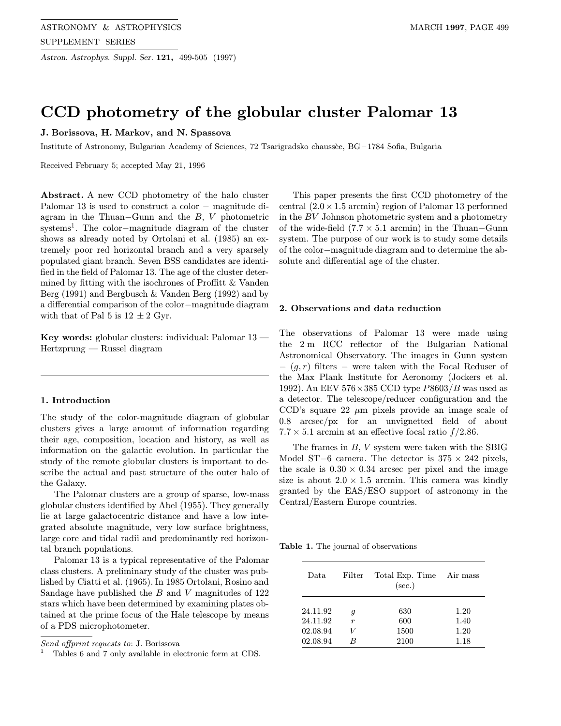Astron. Astrophys. Suppl. Ser. 121, 499-505 (1997)

# CCD photometry of the globular cluster Palomar 13

# J. Borissova, H. Markov, and N. Spassova

Institute of Astronomy, Bulgarian Academy of Sciences, 72 Tsarigradsko chauss`ee, BG – 1784 Sofia, Bulgaria

Received February 5; accepted May 21, 1996

Abstract. A new CCD photometry of the halo cluster Palomar 13 is used to construct a color − magnitude diagram in the Thuan–Gunn and the  $B, V$  photometric systems<sup>1</sup>. The color−magnitude diagram of the cluster shows as already noted by Ortolani et al. (1985) an extremely poor red horizontal branch and a very sparsely populated giant branch. Seven BSS candidates are identified in the field of Palomar 13. The age of the cluster determined by fitting with the isochrones of Proffitt & Vanden Berg (1991) and Bergbusch & Vanden Berg (1992) and by a differential comparison of the color−magnitude diagram with that of Pal 5 is  $12 \pm 2$  Gyr.

Key words: globular clusters: individual: Palomar 13 — Hertzprung — Russel diagram

## 1. Introduction

The study of the color-magnitude diagram of globular clusters gives a large amount of information regarding their age, composition, location and history, as well as information on the galactic evolution. In particular the study of the remote globular clusters is important to describe the actual and past structure of the outer halo of the Galaxy.

The Palomar clusters are a group of sparse, low-mass globular clusters identified by Abel (1955). They generally lie at large galactocentric distance and have a low integrated absolute magnitude, very low surface brightness, large core and tidal radii and predominantly red horizontal branch populations.

Palomar 13 is a typical representative of the Palomar class clusters. A preliminary study of the cluster was published by Ciatti et al. (1965). In 1985 Ortolani, Rosino and Sandage have published the B and V magnitudes of 122 stars which have been determined by examining plates obtained at the prime focus of the Hale telescope by means of a PDS microphotometer.

This paper presents the first CCD photometry of the central  $(2.0 \times 1.5 \text{ arcmin})$  region of Palomar 13 performed in the BV Johnson photometric system and a photometry of the wide-field  $(7.7 \times 5.1 \text{ arcmin})$  in the Thuan–Gunn system. The purpose of our work is to study some details of the color−magnitude diagram and to determine the absolute and differential age of the cluster.

## 2. Observations and data reduction

The observations of Palomar 13 were made using the 2 m RCC reflector of the Bulgarian National Astronomical Observatory. The images in Gunn system  $-(g,r)$  filters – were taken with the Focal Reduser of the Max Plank Institute for Aeronomy (Jockers et al. 1992). An EEV  $576 \times 385$  CCD type  $P8603/B$  was used as a detector. The telescope/reducer configuration and the CCD's square 22  $\mu$ m pixels provide an image scale of 0.8 arcsec/px for an unvignetted field of about  $7.7 \times 5.1$  arcmin at an effective focal ratio  $f/2.86$ .

The frames in B, V system were taken with the SBIG Model ST−6 camera. The detector is  $375 \times 242$  pixels, the scale is  $0.30 \times 0.34$  arcsec per pixel and the image size is about  $2.0 \times 1.5$  arcmin. This camera was kindly granted by the EAS/ESO support of astronomy in the Central/Eastern Europe countries.

Table 1. The journal of observations

| Data.    | Filter                | Total Exp. Time Air mass<br>$(\sec.)$ |      |
|----------|-----------------------|---------------------------------------|------|
| 24.11.92 |                       | 630                                   | 1.20 |
| 24.11.92 | g<br>$\boldsymbol{r}$ | 600                                   | 1.40 |
| 02.08.94 | V                     | 1500                                  | 1.20 |
| 02.08.94 | R                     | 2100                                  | 1.18 |

Send offprint requests to: J. Borissova

Tables 6 and 7 only available in electronic form at CDS.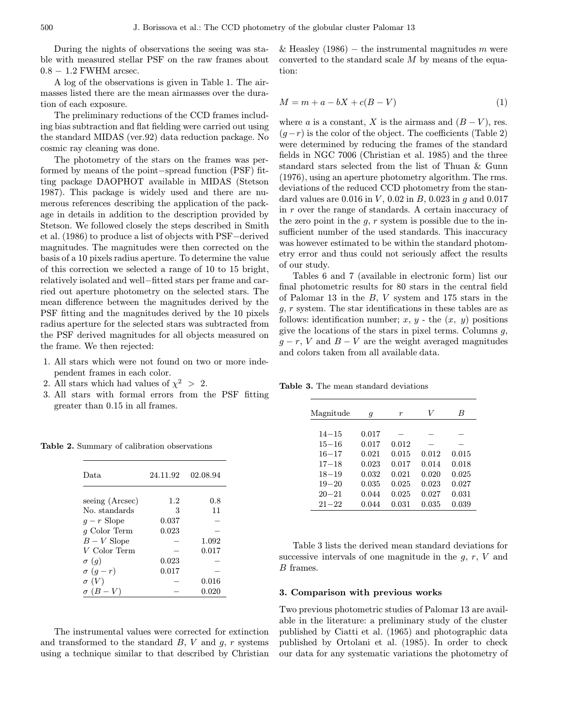During the nights of observations the seeing was stable with measured stellar PSF on the raw frames about  $0.8 - 1.2$  FWHM arcsec.

A log of the observations is given in Table 1. The airmasses listed there are the mean airmasses over the duration of each exposure.

The preliminary reductions of the CCD frames including bias subtraction and flat fielding were carried out using the standard MIDAS (ver.92) data reduction package. No cosmic ray cleaning was done.

The photometry of the stars on the frames was performed by means of the point−spread function (PSF) fitting package DAOPHOT available in MIDAS (Stetson 1987). This package is widely used and there are numerous references describing the application of the package in details in addition to the description provided by Stetson. We followed closely the steps described in Smith et al. (1986) to produce a list of objects with PSF−derived magnitudes. The magnitudes were then corrected on the basis of a 10 pixels radius aperture. To determine the value of this correction we selected a range of 10 to 15 bright, relatively isolated and well−fitted stars per frame and carried out aperture photometry on the selected stars. The mean difference between the magnitudes derived by the PSF fitting and the magnitudes derived by the 10 pixels radius aperture for the selected stars was subtracted from the PSF derived magnitudes for all objects measured on the frame. We then rejected:

- 1. All stars which were not found on two or more independent frames in each color.
- 2. All stars which had values of  $\chi^2 > 2$ .
- 3. All stars with formal errors from the PSF fitting greater than 0.15 in all frames.

Table 2. Summary of calibration observations

| Data.            | 24.11.92 | 02.08.94 |
|------------------|----------|----------|
|                  |          |          |
| seeing (Arcsec)  | 1.2      | 0.8      |
| No. standards    | 3        | 11       |
| $q-r$ Slope      | 0.037    |          |
| $g$ Color Term   | 0.023    |          |
| $B-V$ Slope      |          | 1.092    |
| V Color Term     |          | 0.017    |
| $\sigma$ (g)     | 0.023    |          |
| $\sigma$ $(g-r)$ | 0.017    |          |
| $\sigma(V)$      |          | 0.016    |
| $-V$             |          | 0.020    |

The instrumental values were corrected for extinction and transformed to the standard  $B, V$  and  $g, r$  systems using a technique similar to that described by Christian

& Heasley (1986) – the instrumental magnitudes m were converted to the standard scale  $M$  by means of the equation:

$$
M = m + a - bX + c(B - V)
$$
\n<sup>(1)</sup>

where a is a constant, X is the airmass and  $(B - V)$ , res.  $(q-r)$  is the color of the object. The coefficients (Table 2) were determined by reducing the frames of the standard fields in NGC 7006 (Christian et al. 1985) and the three standard stars selected from the list of Thuan & Gunn (1976), using an aperture photometry algorithm. The rms. deviations of the reduced CCD photometry from the standard values are  $0.016$  in  $V$ ,  $0.02$  in  $B$ ,  $0.023$  in  $g$  and  $0.017$ in r over the range of standards. A certain inaccuracy of the zero point in the  $g, r$  system is possible due to the insufficient number of the used standards. This inaccuracy was however estimated to be within the standard photometry error and thus could not seriously affect the results of our study.

Tables 6 and 7 (available in electronic form) list our final photometric results for 80 stars in the central field of Palomar 13 in the B, V system and 175 stars in the g, r system. The star identifications in these tables are as follows: identification number; x, y - the  $(x, y)$  positions give the locations of the stars in pixel terms. Columns  $q$ ,  $g - r$ , V and  $B - V$  are the weight averaged magnitudes and colors taken from all available data.

Table 3. The mean standard deviations

| Magnitude | q     | r     | V     | B     |
|-----------|-------|-------|-------|-------|
|           |       |       |       |       |
| $14 - 15$ | 0.017 |       |       |       |
| $15 - 16$ | 0.017 | 0.012 |       |       |
| $16 - 17$ | 0.021 | 0.015 | 0.012 | 0.015 |
| $17 - 18$ | 0.023 | 0.017 | 0.014 | 0.018 |
| $18 - 19$ | 0.032 | 0.021 | 0.020 | 0.025 |
| $19 - 20$ | 0.035 | 0.025 | 0.023 | 0.027 |
| $20 - 21$ | 0.044 | 0.025 | 0.027 | 0.031 |
| $21 - 22$ | 0.044 | 0.031 | 0.035 | 0.039 |

Table 3 lists the derived mean standard deviations for successive intervals of one magnitude in the  $q, r, V$  and B frames.

#### 3. Comparison with previous works

Two previous photometric studies of Palomar 13 are available in the literature: a preliminary study of the cluster published by Ciatti et al. (1965) and photographic data published by Ortolani et al. (1985). In order to check our data for any systematic variations the photometry of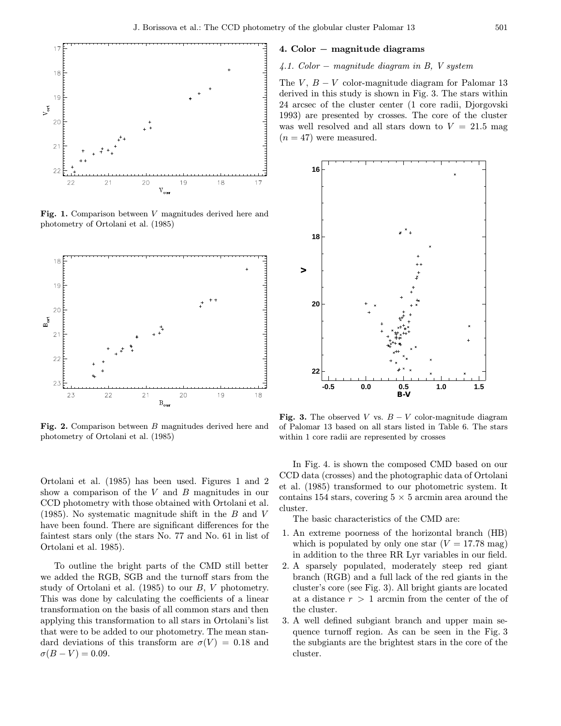

Fig. 1. Comparison between V magnitudes derived here and photometry of Ortolani et al. (1985)



Fig. 2. Comparison between B magnitudes derived here and photometry of Ortolani et al. (1985)

Ortolani et al. (1985) has been used. Figures 1 and 2 show a comparison of the  $V$  and  $B$  magnitudes in our CCD photometry with those obtained with Ortolani et al.  $(1985)$ . No systematic magnitude shift in the B and V have been found. There are significant differences for the faintest stars only (the stars No. 77 and No. 61 in list of Ortolani et al. 1985).

To outline the bright parts of the CMD still better we added the RGB, SGB and the turnoff stars from the study of Ortolani et al. (1985) to our B, V photometry. This was done by calculating the coefficients of a linear transformation on the basis of all common stars and then applying this transformation to all stars in Ortolani's list that were to be added to our photometry. The mean standard deviations of this transform are  $\sigma(V) = 0.18$  and  $\sigma(B-V) = 0.09.$ 

### 4. Color − magnitude diagrams

# 4.1. Color − magnitude diagram in B, V system

The V,  $B - V$  color-magnitude diagram for Palomar 13 derived in this study is shown in Fig. 3. The stars within 24 arcsec of the cluster center (1 core radii, Djorgovski 1993) are presented by crosses. The core of the cluster was well resolved and all stars down to  $V = 21.5$  mag  $(n = 47)$  were measured.



Fig. 3. The observed V vs.  $B - V$  color-magnitude diagram of Palomar 13 based on all stars listed in Table 6. The stars within 1 core radii are represented by crosses

In Fig. 4. is shown the composed CMD based on our CCD data (crosses) and the photographic data of Ortolani et al. (1985) transformed to our photometric system. It contains 154 stars, covering  $5 \times 5$  arcmin area around the cluster.

The basic characteristics of the CMD are:

- 1. An extreme poorness of the horizontal branch (HB) which is populated by only one star  $(V = 17.78$  mag) in addition to the three RR Lyr variables in our field.
- 2. A sparsely populated, moderately steep red giant branch (RGB) and a full lack of the red giants in the cluster's core (see Fig. 3). All bright giants are located at a distance  $r > 1$  arcmin from the center of the of the cluster.
- 3. A well defined subgiant branch and upper main sequence turnoff region. As can be seen in the Fig. 3 the subgiants are the brightest stars in the core of the cluster.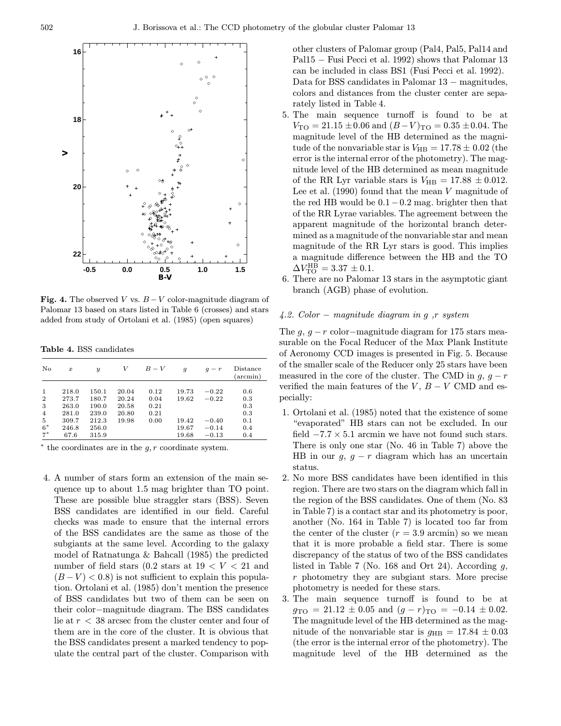

**Fig. 4.** The observed V vs.  $B-V$  color-magnitude diagram of Palomar 13 based on stars listed in Table 6 (crosses) and stars added from study of Ortolani et al. (1985) (open squares)

Table 4. BSS candidates

| No                                                              | $\boldsymbol{x}$                                           | $\boldsymbol{y}$                                            | V                                         | $B-V$                                | $\overline{g}$                            | $-r$                                                | Distance<br>(arcmin)                          |
|-----------------------------------------------------------------|------------------------------------------------------------|-------------------------------------------------------------|-------------------------------------------|--------------------------------------|-------------------------------------------|-----------------------------------------------------|-----------------------------------------------|
| 1<br>$\overline{2}$<br>3<br>$\overline{4}$<br>5<br>$6*$<br>$7*$ | 218.0<br>273.7<br>263.0<br>281.0<br>309.7<br>246.8<br>67.6 | 150.1<br>180.7<br>190.0<br>239.0<br>212.3<br>256.0<br>315.9 | 20.04<br>20.24<br>20.58<br>20.80<br>19.98 | 0.12<br>0.04<br>0.21<br>0.21<br>0.00 | 19.73<br>19.62<br>19.42<br>19.67<br>19.68 | $-0.22$<br>$-0.22$<br>$-0.40$<br>$-0.14$<br>$-0.13$ | 0.6<br>0.3<br>0.3<br>0.3<br>0.1<br>0.4<br>0.4 |

 $*$  the coordinates are in the  $q, r$  coordinate system.

4. A number of stars form an extension of the main sequence up to about 1.5 mag brighter than TO point. These are possible blue straggler stars (BSS). Seven BSS candidates are identified in our field. Careful checks was made to ensure that the internal errors of the BSS candidates are the same as those of the subgiants at the same level. According to the galaxy model of Ratnatunga & Bahcall (1985) the predicted number of field stars  $(0.2 \text{ stars at } 19 < V < 21 \text{ and }$  $(B-V) < 0.8$ ) is not sufficient to explain this population. Ortolani et al. (1985) don't mention the presence of BSS candidates but two of them can be seen on their color−magnitude diagram. The BSS candidates lie at r < 38 arcsec from the cluster center and four of them are in the core of the cluster. It is obvious that the BSS candidates present a marked tendency to populate the central part of the cluster. Comparison with other clusters of Palomar group (Pal4, Pal5, Pal14 and Pal15 − Fusi Pecci et al. 1992) shows that Palomar 13 can be included in class BS1 (Fusi Pecci et al. 1992). Data for BSS candidates in Palomar 13 − magnitudes, colors and distances from the cluster center are separately listed in Table 4.

- 5. The main sequence turnoff is found to be at  $V_{\text{TO}} = 21.15 \pm 0.06$  and  $(B-V)_{\text{TO}} = 0.35 \pm 0.04$ . The magnitude level of the HB determined as the magnitude of the nonvariable star is  $V_{\text{HB}} = 17.78 \pm 0.02$  (the error is the internal error of the photometry). The magnitude level of the HB determined as mean magnitude of the RR Lyr variable stars is  $V_{\text{HB}} = 17.88 \pm 0.012$ . Lee et al.  $(1990)$  found that the mean V magnitude of the red HB would be  $0.1-0.2$  mag. brighter then that of the RR Lyrae variables. The agreement between the apparent magnitude of the horizontal branch determined as a magnitude of the nonvariable star and mean magnitude of the RR Lyr stars is good. This implies a magnitude difference between the HB and the TO  $\Delta V_{\rm TO}^{\rm HB} = 3.37 \pm 0.1.$
- 6. There are no Palomar 13 stars in the asymptotic giant branch (AGB) phase of evolution.

## 4.2. Color − magnitude diagram in g ,r system

The  $g, g-r$  color–magnitude diagram for 175 stars measurable on the Focal Reducer of the Max Plank Institute of Aeronomy CCD images is presented in Fig. 5. Because of the smaller scale of the Reducer only 25 stars have been measured in the core of the cluster. The CMD in  $g, g-r$ verified the main features of the  $V, B - V$  CMD and especially:

- 1. Ortolani et al. (1985) noted that the existence of some "evaporated" HB stars can not be excluded. In our field  $-7.7 \times 5.1$  arcmin we have not found such stars. There is only one star (No. 46 in Table 7) above the HB in our  $g, g - r$  diagram which has an uncertain status.
- 2. No more BSS candidates have been identified in this region. There are two stars on the diagram which fall in the region of the BSS candidates. One of them (No. 83 in Table 7) is a contact star and its photometry is poor, another (No. 164 in Table 7) is located too far from the center of the cluster  $(r = 3.9 \text{ arcmin})$  so we mean that it is more probable a field star. There is some discrepancy of the status of two of the BSS candidates listed in Table 7 (No. 168 and Ort 24). According  $q$ , r photometry they are subgiant stars. More precise photometry is needed for these stars.
- 3. The main sequence turnoff is found to be at  $g_{\text{TO}} = 21.12 \pm 0.05$  and  $(g - r)_{\text{TO}} = -0.14 \pm 0.02$ . The magnitude level of the HB determined as the magnitude of the nonvariable star is  $q_{\text{HB}} = 17.84 \pm 0.03$ (the error is the internal error of the photometry). The magnitude level of the HB determined as the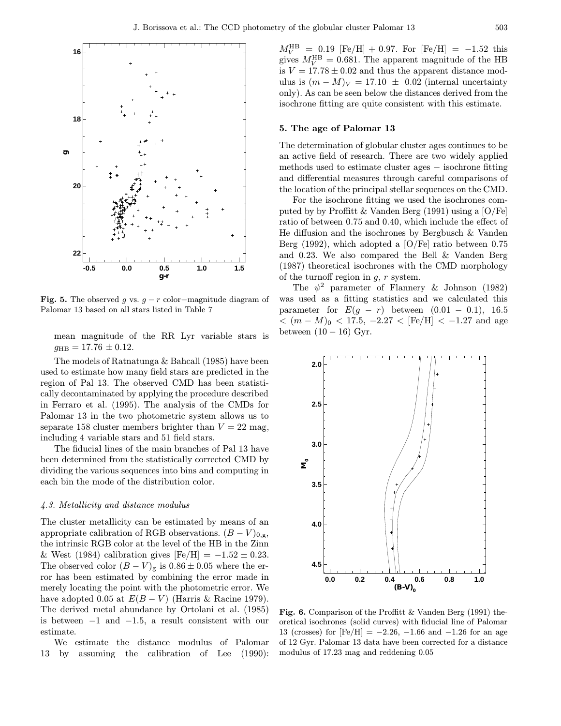

Fig. 5. The observed g vs.  $g - r$  color–magnitude diagram of Palomar 13 based on all stars listed in Table 7

mean magnitude of the RR Lyr variable stars is  $g_{\rm HB} = 17.76 \pm 0.12.$ 

The models of Ratnatunga & Bahcall (1985) have been used to estimate how many field stars are predicted in the region of Pal 13. The observed CMD has been statistically decontaminated by applying the procedure described in Ferraro et al. (1995). The analysis of the CMDs for Palomar 13 in the two photometric system allows us to separate 158 cluster members brighter than  $V = 22$  mag, including 4 variable stars and 51 field stars.

The fiducial lines of the main branches of Pal 13 have been determined from the statistically corrected CMD by dividing the various sequences into bins and computing in each bin the mode of the distribution color.

#### 4.3. Metallicity and distance modulus

The cluster metallicity can be estimated by means of an appropriate calibration of RGB observations.  $(B - V)_{0,g}$ , the intrinsic RGB color at the level of the HB in the Zinn & West (1984) calibration gives  $[Fe/H] = -1.52 \pm 0.23$ . The observed color  $(B - V)_{\text{g}}$  is  $0.86 \pm 0.05$  where the error has been estimated by combining the error made in merely locating the point with the photometric error. We have adopted 0.05 at  $E(B - V)$  (Harris & Racine 1979). The derived metal abundance by Ortolani et al. (1985) is between  $-1$  and  $-1.5$ , a result consistent with our estimate.

We estimate the distance modulus of Palomar 13 by assuming the calibration of Lee (1990):

 $M_V^{\text{HB}}$  = 0.19 [Fe/H] + 0.97. For [Fe/H] = -1.52 this gives  $M_V^{\text{HB}} = 0.681$ . The apparent magnitude of the HB is  $V = 17.78 \pm 0.02$  and thus the apparent distance modulus is  $(m - M)<sub>V</sub> = 17.10 \pm 0.02$  (internal uncertainty only). As can be seen below the distances derived from the isochrone fitting are quite consistent with this estimate.

## 5. The age of Palomar 13

The determination of globular cluster ages continues to be an active field of research. There are two widely applied methods used to estimate cluster ages − isochrone fitting and differential measures through careful comparisons of the location of the principal stellar sequences on the CMD.

For the isochrone fitting we used the isochrones computed by by Proffitt & Vanden Berg (1991) using a [O/Fe] ratio of between 0.75 and 0.40, which include the effect of He diffusion and the isochrones by Bergbusch & Vanden Berg (1992), which adopted a [O/Fe] ratio between 0.75 and 0.23. We also compared the Bell & Vanden Berg (1987) theoretical isochrones with the CMD morphology of the turnoff region in  $g, r$  system.

The  $\psi^2$  parameter of Flannery & Johnson (1982) was used as a fitting statistics and we calculated this parameter for  $E(g - r)$  between  $(0.01 - 0.1)$ , 16.5  $<$   $(m-M)_0$  < 17.5,  $-2.27$  < [Fe/H] <  $-1.27$  and age between  $(10 - 16)$  Gyr.



Fig. 6. Comparison of the Proffitt & Vanden Berg (1991) theoretical isochrones (solid curves) with fiducial line of Palomar 13 (crosses) for  $[Fe/H] = -2.26, -1.66$  and  $-1.26$  for an age of 12 Gyr. Palomar 13 data have been corrected for a distance modulus of 17.23 mag and reddening 0.05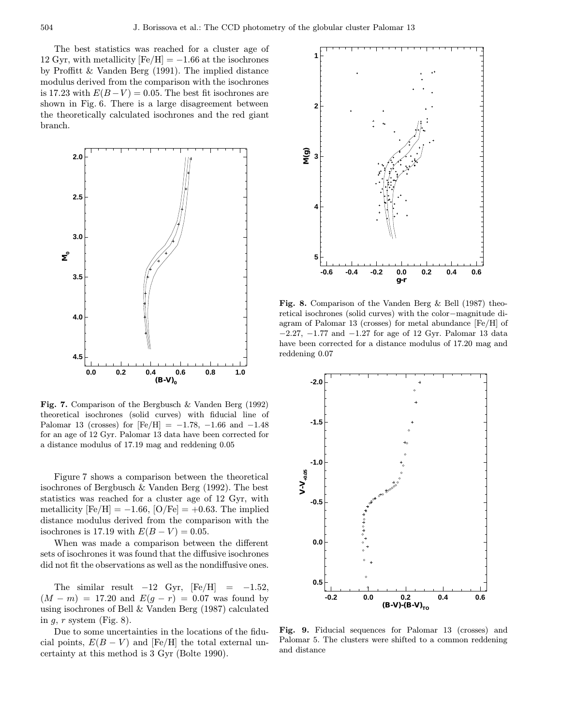The best statistics was reached for a cluster age of 12 Gyr, with metallicity  $[Fe/H] = -1.66$  at the isochrones by Proffitt & Vanden Berg (1991). The implied distance modulus derived from the comparison with the isochrones is 17.23 with  $E(B-V) = 0.05$ . The best fit isochrones are shown in Fig. 6. There is a large disagreement between the theoretically calculated isochrones and the red giant branch.



Fig. 7. Comparison of the Bergbusch & Vanden Berg (1992) theoretical isochrones (solid curves) with fiducial line of Palomar 13 (crosses) for  $[Fe/H] = -1.78$ , -1.66 and -1.48 for an age of 12 Gyr. Palomar 13 data have been corrected for a distance modulus of 17.19 mag and reddening 0.05

Figure 7 shows a comparison between the theoretical isochrones of Bergbusch & Vanden Berg (1992). The best statistics was reached for a cluster age of 12 Gyr, with metallicity  $\text{[Fe/H]} = -1.66$ ,  $\text{[O/Fe]} = +0.63$ . The implied distance modulus derived from the comparison with the isochrones is 17.19 with  $E(B - V) = 0.05$ .

When was made a comparison between the different sets of isochrones it was found that the diffusive isochrones did not fit the observations as well as the nondiffusive ones.

The similar result  $-12$  Gyr,  $[Fe/H] = -1.52$ ,  $(M - m) = 17.20$  and  $E(g - r) = 0.07$  was found by using isochrones of Bell & Vanden Berg (1987) calculated in  $g, r$  system (Fig. 8).

Due to some uncertainties in the locations of the fiducial points,  $E(B - V)$  and [Fe/H] the total external uncertainty at this method is 3 Gyr (Bolte 1990).



Fig. 8. Comparison of the Vanden Berg & Bell (1987) theoretical isochrones (solid curves) with the color−magnitude diagram of Palomar 13 (crosses) for metal abundance [Fe/H] of −2.27, −1.77 and −1.27 for age of 12 Gyr. Palomar 13 data have been corrected for a distance modulus of 17.20 mag and reddening 0.07



Fig. 9. Fiducial sequences for Palomar 13 (crosses) and Palomar 5. The clusters were shifted to a common reddening and distance